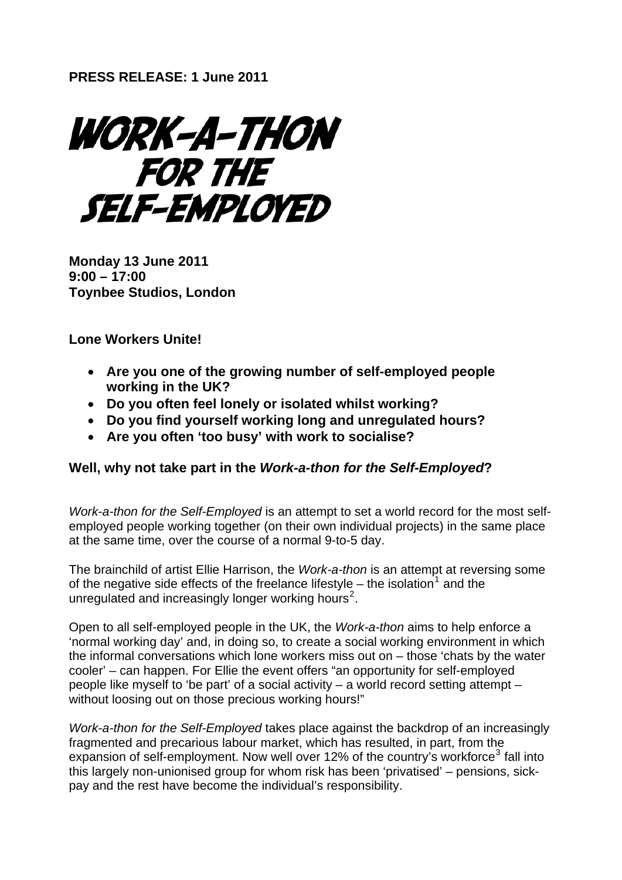WORK-A-THON FOR THE **SELF-EMPLOYED** 

**Monday 13 June 2011 9:00 – 17:00 Toynbee Studios, London** 

**Lone Workers Unite!** 

- **Are you one of the growing number of self-employed people working in the UK?**
- **Do you often feel lonely or isolated whilst working?**
- **Do you find yourself working long and unregulated hours?**
- **Are you often 'too busy' with work to socialise?**

## **Well, why not take part in the** *Work-a-thon for the Self-Employed***?**

*Work-a-thon for the Self-Employed* is an attempt to set a world record for the most selfemployed people working together (on their own individual projects) in the same place at the same time, over the course of a normal 9-to-5 day.

The brainchild of artist Ellie Harrison, the *Work-a-thon* is an attempt at reversing some of the negative side effects of the freelance lifestyle  $-$  the isolation<sup>[1](#page-1-0)</sup> and the unregulated and increasingly longer working hours<sup>[2](#page-1-1)</sup>.

Open to all self-employed people in the UK, the *Work-a-thon* aims to help enforce a 'normal working day' and, in doing so, to create a social working environment in which the informal conversations which lone workers miss out on – those 'chats by the water cooler' – can happen. For Ellie the event offers "an opportunity for self-employed people like myself to 'be part' of a social activity – a world record setting attempt – without loosing out on those precious working hours!"

*Work-a-thon for the Self-Employed* takes place against the backdrop of an increasingly fragmented and precarious labour market, which has resulted, in part, from the expansion of self-employment. Now well over 12% of the country's workforce<sup>[3](#page-1-2)</sup> fall into this largely non-unionised group for whom risk has been 'privatised' – pensions, sickpay and the rest have become the individual's responsibility.